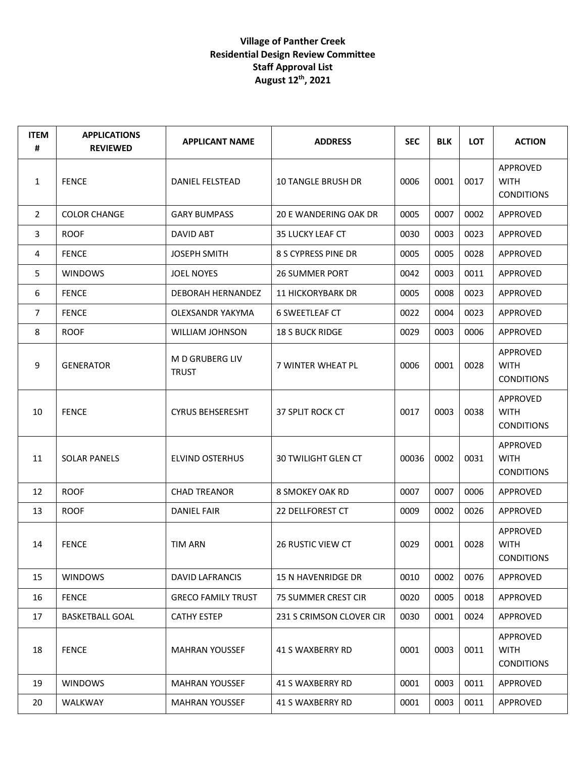| <b>ITEM</b><br># | <b>APPLICATIONS</b><br><b>REVIEWED</b> | <b>APPLICANT NAME</b>                 | <b>ADDRESS</b>            | <b>SEC</b> | <b>BLK</b> | <b>LOT</b> | <b>ACTION</b>                                |
|------------------|----------------------------------------|---------------------------------------|---------------------------|------------|------------|------------|----------------------------------------------|
| 1                | <b>FENCE</b>                           | DANIEL FELSTEAD                       | <b>10 TANGLE BRUSH DR</b> | 0006       | 0001       | 0017       | APPROVED<br><b>WITH</b><br><b>CONDITIONS</b> |
| 2                | <b>COLOR CHANGE</b>                    | <b>GARY BUMPASS</b>                   | 20 E WANDERING OAK DR     | 0005       | 0007       | 0002       | APPROVED                                     |
| 3                | <b>ROOF</b>                            | DAVID ABT                             | <b>35 LUCKY LEAF CT</b>   | 0030       | 0003       | 0023       | APPROVED                                     |
| 4                | <b>FENCE</b>                           | <b>JOSEPH SMITH</b>                   | 8 S CYPRESS PINE DR       | 0005       | 0005       | 0028       | APPROVED                                     |
| 5                | <b>WINDOWS</b>                         | <b>JOEL NOYES</b>                     | <b>26 SUMMER PORT</b>     | 0042       | 0003       | 0011       | APPROVED                                     |
| 6                | <b>FENCE</b>                           | DEBORAH HERNANDEZ                     | <b>11 HICKORYBARK DR</b>  | 0005       | 0008       | 0023       | APPROVED                                     |
| $\overline{7}$   | <b>FENCE</b>                           | OLEXSANDR YAKYMA                      | <b>6 SWEETLEAF CT</b>     | 0022       | 0004       | 0023       | APPROVED                                     |
| 8                | <b>ROOF</b>                            | <b>WILLIAM JOHNSON</b>                | <b>18 S BUCK RIDGE</b>    | 0029       | 0003       | 0006       | APPROVED                                     |
| 9                | <b>GENERATOR</b>                       | <b>MD GRUBERG LIV</b><br><b>TRUST</b> | 7 WINTER WHEAT PL         | 0006       | 0001       | 0028       | APPROVED<br><b>WITH</b><br><b>CONDITIONS</b> |
| 10               | <b>FENCE</b>                           | <b>CYRUS BEHSERESHT</b>               | 37 SPLIT ROCK CT          | 0017       | 0003       | 0038       | APPROVED<br><b>WITH</b><br><b>CONDITIONS</b> |
| 11               | <b>SOLAR PANELS</b>                    | <b>ELVIND OSTERHUS</b>                | 30 TWILIGHT GLEN CT       | 00036      | 0002       | 0031       | APPROVED<br><b>WITH</b><br><b>CONDITIONS</b> |
| 12               | <b>ROOF</b>                            | <b>CHAD TREANOR</b>                   | 8 SMOKEY OAK RD           | 0007       | 0007       | 0006       | APPROVED                                     |
| 13               | <b>ROOF</b>                            | <b>DANIEL FAIR</b>                    | 22 DELLFOREST CT          | 0009       | 0002       | 0026       | APPROVED                                     |
| 14               | <b>FENCE</b>                           | <b>TIM ARN</b>                        | 26 RUSTIC VIEW CT         | 0029       | 0001       | 0028       | APPROVED<br><b>WITH</b><br><b>CONDITIONS</b> |
| 15               | <b>WINDOWS</b>                         | DAVID LAFRANCIS                       | 15 N HAVENRIDGE DR        | 0010       | 0002       | 0076       | APPROVED                                     |
| 16               | <b>FENCE</b>                           | <b>GRECO FAMILY TRUST</b>             | 75 SUMMER CREST CIR       | 0020       | 0005       | 0018       | APPROVED                                     |
| 17               | <b>BASKETBALL GOAL</b>                 | <b>CATHY ESTEP</b>                    | 231 S CRIMSON CLOVER CIR  | 0030       | 0001       | 0024       | APPROVED                                     |
| 18               | <b>FENCE</b>                           | <b>MAHRAN YOUSSEF</b>                 | 41 S WAXBERRY RD          | 0001       | 0003       | 0011       | APPROVED<br><b>WITH</b><br><b>CONDITIONS</b> |
| 19               | <b>WINDOWS</b>                         | <b>MAHRAN YOUSSEF</b>                 | 41 S WAXBERRY RD          | 0001       | 0003       | 0011       | APPROVED                                     |
| 20               | WALKWAY                                | <b>MAHRAN YOUSSEF</b>                 | 41 S WAXBERRY RD          | 0001       | 0003       | 0011       | APPROVED                                     |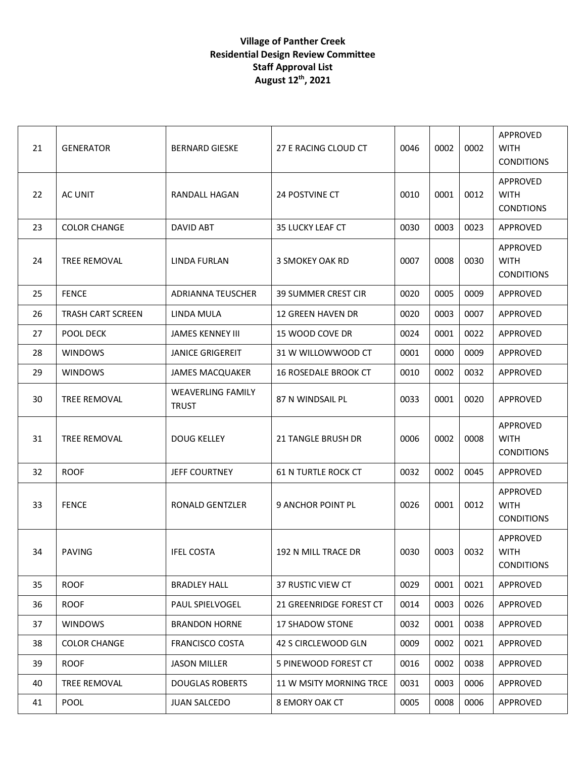| 21 | <b>GENERATOR</b>         | <b>BERNARD GIESKE</b>                    | 27 E RACING CLOUD CT        | 0046 | 0002 | 0002 | APPROVED<br><b>WITH</b><br><b>CONDITIONS</b> |
|----|--------------------------|------------------------------------------|-----------------------------|------|------|------|----------------------------------------------|
| 22 | AC UNIT                  | RANDALL HAGAN                            | <b>24 POSTVINE CT</b>       | 0010 | 0001 | 0012 | APPROVED<br><b>WITH</b><br><b>CONDTIONS</b>  |
| 23 | <b>COLOR CHANGE</b>      | DAVID ABT                                | 35 LUCKY LEAF CT            | 0030 | 0003 | 0023 | APPROVED                                     |
| 24 | TREE REMOVAL             | LINDA FURLAN                             | 3 SMOKEY OAK RD             | 0007 | 0008 | 0030 | APPROVED<br><b>WITH</b><br><b>CONDITIONS</b> |
| 25 | <b>FENCE</b>             | <b>ADRIANNA TEUSCHER</b>                 | <b>39 SUMMER CREST CIR</b>  | 0020 | 0005 | 0009 | APPROVED                                     |
| 26 | <b>TRASH CART SCREEN</b> | LINDA MULA                               | <b>12 GREEN HAVEN DR</b>    | 0020 | 0003 | 0007 | APPROVED                                     |
| 27 | POOL DECK                | <b>JAMES KENNEY III</b>                  | 15 WOOD COVE DR             | 0024 | 0001 | 0022 | APPROVED                                     |
| 28 | <b>WINDOWS</b>           | <b>JANICE GRIGEREIT</b>                  | 31 W WILLOWWOOD CT          | 0001 | 0000 | 0009 | APPROVED                                     |
| 29 | <b>WINDOWS</b>           | <b>JAMES MACQUAKER</b>                   | <b>16 ROSEDALE BROOK CT</b> | 0010 | 0002 | 0032 | APPROVED                                     |
| 30 | TREE REMOVAL             | <b>WEAVERLING FAMILY</b><br><b>TRUST</b> | 87 N WINDSAIL PL            | 0033 | 0001 | 0020 | APPROVED                                     |
| 31 | <b>TREE REMOVAL</b>      | <b>DOUG KELLEY</b>                       | 21 TANGLE BRUSH DR          | 0006 | 0002 | 0008 | APPROVED<br><b>WITH</b><br><b>CONDITIONS</b> |
| 32 | <b>ROOF</b>              | <b>JEFF COURTNEY</b>                     | <b>61 N TURTLE ROCK CT</b>  | 0032 | 0002 | 0045 | APPROVED                                     |
| 33 | <b>FENCE</b>             | <b>RONALD GENTZLER</b>                   | 9 ANCHOR POINT PL           | 0026 | 0001 | 0012 | APPROVED<br><b>WITH</b><br><b>CONDITIONS</b> |
| 34 | <b>PAVING</b>            | <b>IFEL COSTA</b>                        | 192 N MILL TRACE DR         | 0030 | 0003 | 0032 | APPROVED<br><b>WITH</b><br><b>CONDITIONS</b> |
| 35 | <b>ROOF</b>              | <b>BRADLEY HALL</b>                      | 37 RUSTIC VIEW CT           | 0029 | 0001 | 0021 | APPROVED                                     |
| 36 | <b>ROOF</b>              | PAUL SPIELVOGEL                          | 21 GREENRIDGE FOREST CT     | 0014 | 0003 | 0026 | APPROVED                                     |
| 37 | <b>WINDOWS</b>           | <b>BRANDON HORNE</b>                     | <b>17 SHADOW STONE</b>      | 0032 | 0001 | 0038 | APPROVED                                     |
| 38 | <b>COLOR CHANGE</b>      | <b>FRANCISCO COSTA</b>                   | 42 S CIRCLEWOOD GLN         | 0009 | 0002 | 0021 | APPROVED                                     |
| 39 | <b>ROOF</b>              | <b>JASON MILLER</b>                      | 5 PINEWOOD FOREST CT        | 0016 | 0002 | 0038 | APPROVED                                     |
| 40 | TREE REMOVAL             | <b>DOUGLAS ROBERTS</b>                   | 11 W MSITY MORNING TRCE     | 0031 | 0003 | 0006 | APPROVED                                     |
| 41 | <b>POOL</b>              | <b>JUAN SALCEDO</b>                      | 8 EMORY OAK CT              | 0005 | 0008 | 0006 | APPROVED                                     |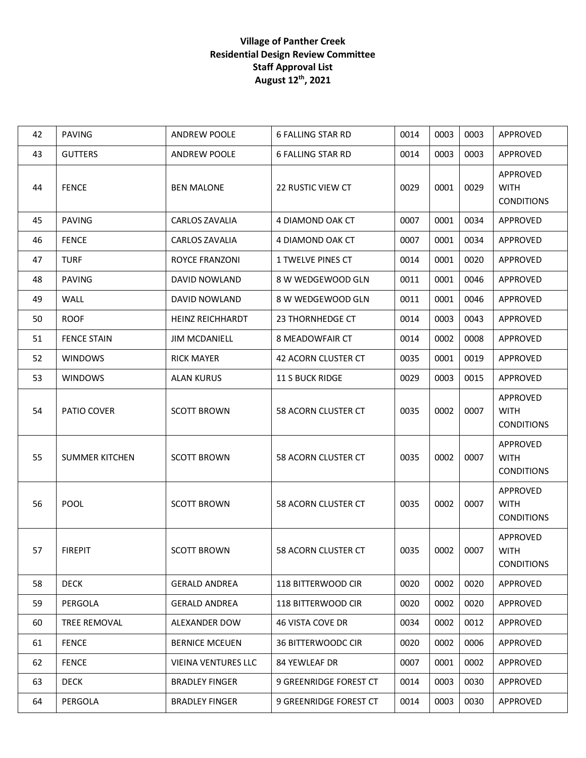| 42 | <b>PAVING</b>         | <b>ANDREW POOLE</b>        | <b>6 FALLING STAR RD</b>   | 0014 | 0003 | 0003 | APPROVED                                            |
|----|-----------------------|----------------------------|----------------------------|------|------|------|-----------------------------------------------------|
| 43 | <b>GUTTERS</b>        | <b>ANDREW POOLE</b>        | <b>6 FALLING STAR RD</b>   | 0014 | 0003 | 0003 | APPROVED                                            |
| 44 | <b>FENCE</b>          | <b>BEN MALONE</b>          | <b>22 RUSTIC VIEW CT</b>   | 0029 | 0001 | 0029 | APPROVED<br><b>WITH</b><br><b>CONDITIONS</b>        |
| 45 | <b>PAVING</b>         | <b>CARLOS ZAVALIA</b>      | 4 DIAMOND OAK CT           | 0007 | 0001 | 0034 | APPROVED                                            |
| 46 | <b>FENCE</b>          | <b>CARLOS ZAVALIA</b>      | 4 DIAMOND OAK CT           | 0007 | 0001 | 0034 | APPROVED                                            |
| 47 | <b>TURF</b>           | ROYCE FRANZONI             | 1 TWELVE PINES CT          | 0014 | 0001 | 0020 | APPROVED                                            |
| 48 | <b>PAVING</b>         | DAVID NOWLAND              | 8 W WEDGEWOOD GLN          | 0011 | 0001 | 0046 | APPROVED                                            |
| 49 | WALL                  | DAVID NOWLAND              | 8 W WEDGEWOOD GLN          | 0011 | 0001 | 0046 | APPROVED                                            |
| 50 | <b>ROOF</b>           | <b>HEINZ REICHHARDT</b>    | 23 THORNHEDGE CT           | 0014 | 0003 | 0043 | APPROVED                                            |
| 51 | <b>FENCE STAIN</b>    | <b>JIM MCDANIELL</b>       | 8 MEADOWFAIR CT            | 0014 | 0002 | 0008 | APPROVED                                            |
| 52 | <b>WINDOWS</b>        | <b>RICK MAYER</b>          | <b>42 ACORN CLUSTER CT</b> | 0035 | 0001 | 0019 | APPROVED                                            |
| 53 | <b>WINDOWS</b>        | <b>ALAN KURUS</b>          | <b>11 S BUCK RIDGE</b>     | 0029 | 0003 | 0015 | APPROVED                                            |
| 54 | PATIO COVER           | <b>SCOTT BROWN</b>         | 58 ACORN CLUSTER CT        | 0035 | 0002 | 0007 | <b>APPROVED</b><br><b>WITH</b><br><b>CONDITIONS</b> |
| 55 | <b>SUMMER KITCHEN</b> | <b>SCOTT BROWN</b>         | 58 ACORN CLUSTER CT        | 0035 | 0002 | 0007 | APPROVED<br><b>WITH</b><br><b>CONDITIONS</b>        |
| 56 | <b>POOL</b>           | <b>SCOTT BROWN</b>         | 58 ACORN CLUSTER CT        | 0035 | 0002 | 0007 | APPROVED<br><b>WITH</b><br><b>CONDITIONS</b>        |
| 57 | <b>FIREPIT</b>        | <b>SCOTT BROWN</b>         | 58 ACORN CLUSTER CT        | 0035 | 0002 | 0007 | APPROVED<br><b>WITH</b><br><b>CONDITIONS</b>        |
| 58 | <b>DECK</b>           | <b>GERALD ANDREA</b>       | 118 BITTERWOOD CIR         | 0020 | 0002 | 0020 | APPROVED                                            |
| 59 | PERGOLA               | <b>GERALD ANDREA</b>       | 118 BITTERWOOD CIR         | 0020 | 0002 | 0020 | APPROVED                                            |
| 60 | TREE REMOVAL          | ALEXANDER DOW              | 46 VISTA COVE DR           | 0034 | 0002 | 0012 | <b>APPROVED</b>                                     |
| 61 | <b>FENCE</b>          | <b>BERNICE MCEUEN</b>      | <b>36 BITTERWOODC CIR</b>  | 0020 | 0002 | 0006 | APPROVED                                            |
| 62 | <b>FENCE</b>          | <b>VIEINA VENTURES LLC</b> | <b>84 YEWLEAF DR</b>       | 0007 | 0001 | 0002 | APPROVED                                            |
| 63 | <b>DECK</b>           | <b>BRADLEY FINGER</b>      | 9 GREENRIDGE FOREST CT     | 0014 | 0003 | 0030 | APPROVED                                            |
| 64 | PERGOLA               | <b>BRADLEY FINGER</b>      | 9 GREENRIDGE FOREST CT     | 0014 | 0003 | 0030 | APPROVED                                            |